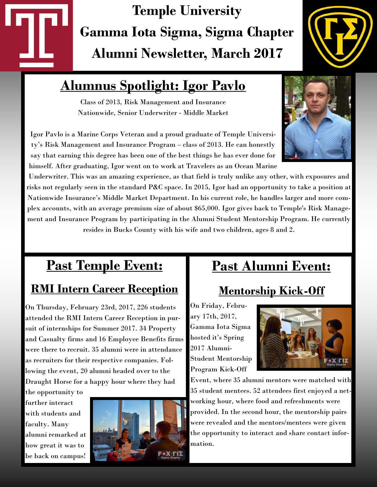# **Temple University Gamma Iota Sigma, Sigma Chapter Alumni Newsletter, March 2017**



# **Alumnus Spotlight: Igor Pavlo**

Class of 2013, Risk Management and Insurance Nationwide, Senior Underwriter - Middle Market

Igor Pavlo is a Marine Corps Veteran and a proud graduate of Temple University's Risk Management and Insurance Program – class of 2013. He can honestly say that earning this degree has been one of the best things he has ever done for himself. After graduating, Igor went on to work at Travelers as an Ocean Marine

Underwriter. This was an amazing experience, as that field is truly unlike any other, with exposures and risks not regularly seen in the standard P&C space. In 2015, Igor had an opportunity to take a position at Nationwide Insurance's Middle Market Department. In his current role, he handles larger and more complex accounts, with an average premium size of about \$65,000. Igor gives back to Temple's Risk Management and Insurance Program by participating in the Alumni Student Mentorship Program. He currently resides in Bucks County with his wife and two children, ages 8 and 2.

# **Past Temple Event:** *<sup>=</sup>*

### **RMI Intern Career Reception**

On Thursday, February 23rd, 2017, 226 students attended the RMI Intern Career Reception in pursuit of internships for Summer 2017. 34 Property and Casualty firms and 16 Employee Benefits firms were there to recruit. 35 alumni were in attendance as recruiters for their respective companies. Following the event, 20 alumni headed over to the Draught Horse for a happy hour where they had

the opportunity to further interact with students and faculty. Many alumni remarked at how great it was to be back on campus!



## **Past Alumni Event:**

## **Mentorship Kick-Off**

On Friday, February 17th, 2017, Gamma Iota Sigma hosted it's Spring 2017 Alumni-Student Mentorship Program Kick-Off



Event, where 35 alumni mentors were matched with 35 student mentees. 52 attendees first enjoyed a networking hour, where food and refreshments were provided. In the second hour, the mentorship pairs were revealed and the mentors/mentees were given the opportunity to interact and share contact information.